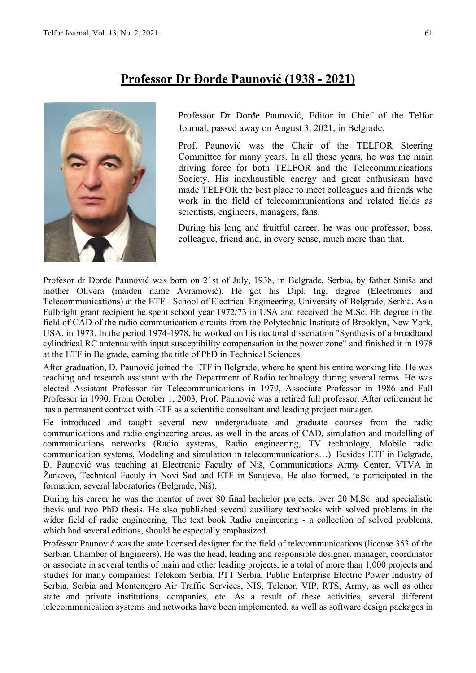## **Professor Dr Đorđe Paunović (1938 - 2021)**



Professor Dr Đorđe Paunović, Editor in Chief of the Telfor Journal, passed away on August 3, 2021, in Belgrade.

Prof. Paunović was the Chair of the TELFOR Steering Committee for many years. In all those years, he was the main driving force for both TELFOR and the Telecommunications Society. His inexhaustible energy and great enthusiasm have made TELFOR the best place to meet colleagues and friends who work in the field of telecommunications and related fields as scientists, engineers, managers, fans.

During his long and fruitful career, he was our professor, boss, colleague, friend and, in every sense, much more than that.

Profesor dr Đorđe Paunović was born on 21st of July, 1938, in Belgrade, Serbia, by father Siniša and mother Olivera (maiden name Avramović). He got his Dipl. Ing. degree (Electronics and Telecommunications) at the ETF - School of Electrical Engineering, University of Belgrade, Serbia. As a Fulbright grant recipient he spent school year 1972/73 in USA and received the M.Sc. EE degree in the field of CAD of the radio communication circuits from the Polytechnic Institute of Brooklyn, New York, USA, in 1973. In the period 1974-1978, he worked on his doctoral dissertation "Synthesis of a broadband cylindrical RC antenna with input susceptibility compensation in the power zone" and finished it in 1978 at the ETF in Belgrade, earning the title of PhD in Technical Sciences.

After graduation, Đ. Paunović joined the ETF in Belgrade, where he spent his entire working life. He was teaching and research assistant with the Department of Radio technology during several terms. He was elected Assistant Professor for Telecommunications in 1979, Associate Professor in 1986 and Full Professor in 1990. From October 1, 2003, Prof. Paunović was a retired full professor. After retirement he has a permanent contract with ETF as a scientific consultant and leading project manager.

He introduced and taught several new undergraduate and graduate courses from the radio communications and radio engineering areas, as well in the areas of CAD, simulation and modelling of communications networks (Radio systems, Radio engineering, TV technology, Mobile radio communication systems, Modeling and simulation in telecommunications…). Besides ETF in Belgrade, Đ. Paunović was teaching at Electronic Faculty of Niš, Communications Army Center, VTVA in Žarkovo, Technical Faculy in Novi Sad and ETF in Sarajevo. He also formed, ie participated in the formation, several laboratories (Belgrade, Niš).

During his career he was the mentor of over 80 final bachelor projects, over 20 M.Sc. and specialistic thesis and two PhD thesis. He also published several auxiliary textbooks with solved problems in the wider field of radio engineering. The text book Radio engineering - a collection of solved problems, which had several editions, should be especially emphasized.

Professor Paunović was the state licensed designer for the field of telecommunications (license 353 of the Serbian Chamber of Engineers). He was the head, leading and responsible designer, manager, coordinator or associate in several tenths of main and other leading projects, ie a total of more than 1,000 projects and studies for many companies: Telekom Serbia, PTT Serbia, Public Enterprise Electric Power Industry of Serbia, Serbia and Montenegro Air Traffic Services, NIS, Telenor, VIP, RTS, Army, as well as other state and private institutions, companies, etc. As a result of these activities, several different telecommunication systems and networks have been implemented, as well as software design packages in